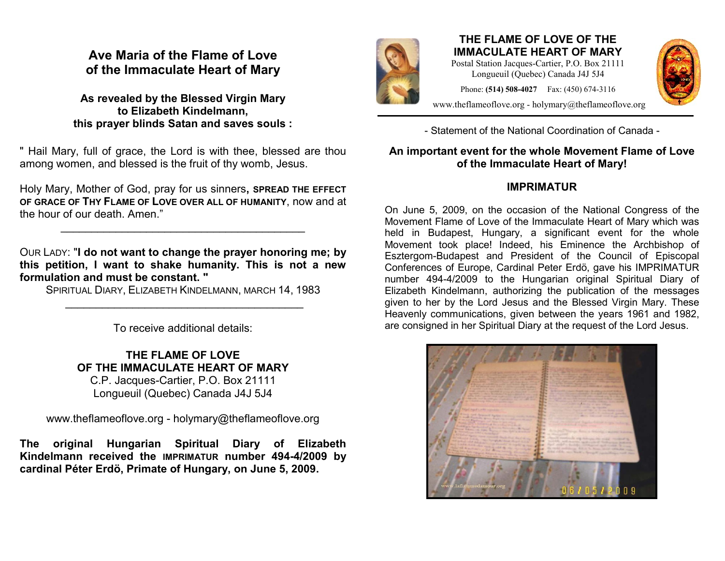## **Ave Maria of the Flame of Love of the Immaculate Heart of Mary**

**As revealed by the Blessed Virgin Mary to Elizabeth Kindelmann, this prayer blinds Satan and saves souls :**

" Hail Mary, full of grace, the Lord is with thee, blessed are thou among women, and blessed is the fruit of thy womb, Jesus.

Holy Mary, Mother of God, pray for us sinners**, SPREAD THE EFFECT OF GRACE OF THY FLAME OF LOVE OVER ALL OF HUMANITY**, now and at the hour of our death. Amen."

 $\mathcal{L}_\text{max}$  , where  $\mathcal{L}_\text{max}$  and  $\mathcal{L}_\text{max}$  and  $\mathcal{L}_\text{max}$ 

OUR LADY: "**I do not want to change the prayer honoring me; by this petition, I want to shake humanity. This is not a new formulation and must be constant. "**

SPIRITUAL DIARY, ELIZABETH KINDELMANN, MARCH 14, 1983 \_\_\_\_\_\_\_\_\_\_\_\_\_\_\_\_\_\_\_\_\_\_\_\_\_\_\_\_\_\_\_\_\_\_\_\_\_\_\_

To receive additional details:

**THE FLAME OF LOVE OF THE IMMACULATE HEART OF MARY**

C.P. Jacques-Cartier, P.O. Box 21111 Longueuil (Quebec) Canada J4J 5J4

www.theflameoflove.org - holymary@theflameoflove.org

**The original Hungarian Spiritual Diary of Elizabeth Kindelmann received the IMPRIMATUR number 494-4/2009 by cardinal Péter Erdö, Primate of Hungary, on June 5, 2009.**



## **THE FLAME OF LOVE OF THE IMMACULATE HEART OF MARY**

Postal Station Jacques-Cartier, P.O. Box 21111 Longueuil (Quebec) Canada J4J 5J4

Phone: **(514) 508-4027** Fax: (450) 674-3116



www.theflameoflove.org - holymary@theflameoflove.org

- Statement of the National Coordination of Canada -

## **An important event for the whole Movement Flame of Love of the Immaculate Heart of Mary!**

## **IMPRIMATUR**

On June 5, 2009, on the occasion of the National Congress of the Movement Flame of Love of the Immaculate Heart of Mary which was held in Budapest, Hungary, a significant event for the whole Movement took place! Indeed, his Eminence the Archbishop of Esztergom-Budapest and President of the Council of Episcopal Conferences of Europe, Cardinal Peter Erdö, gave his IMPRIMATUR number 494-4/2009 to the Hungarian original Spiritual Diary of Elizabeth Kindelmann, authorizing the publication of the messages given to her by the Lord Jesus and the Blessed Virgin Mary. These Heavenly communications, given between the years 1961 and 1982, are consigned in her Spiritual Diary at the request of the Lord Jesus.